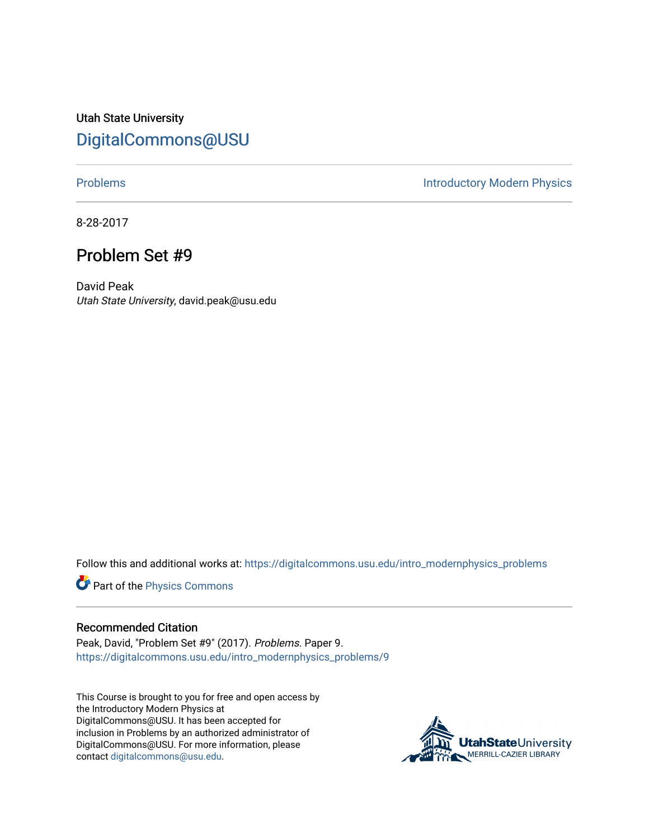Utah State University [DigitalCommons@USU](https://digitalcommons.usu.edu/)

[Problems](https://digitalcommons.usu.edu/intro_modernphysics_problems) **Introductory Modern Physics** 

8-28-2017

## Problem Set #9

David Peak Utah State University, david.peak@usu.edu

Follow this and additional works at: [https://digitalcommons.usu.edu/intro\\_modernphysics\\_problems](https://digitalcommons.usu.edu/intro_modernphysics_problems?utm_source=digitalcommons.usu.edu%2Fintro_modernphysics_problems%2F9&utm_medium=PDF&utm_campaign=PDFCoverPages) 

Part of the [Physics Commons](http://network.bepress.com/hgg/discipline/193?utm_source=digitalcommons.usu.edu%2Fintro_modernphysics_problems%2F9&utm_medium=PDF&utm_campaign=PDFCoverPages)

## Recommended Citation

Peak, David, "Problem Set #9" (2017). Problems. Paper 9. [https://digitalcommons.usu.edu/intro\\_modernphysics\\_problems/9](https://digitalcommons.usu.edu/intro_modernphysics_problems/9?utm_source=digitalcommons.usu.edu%2Fintro_modernphysics_problems%2F9&utm_medium=PDF&utm_campaign=PDFCoverPages)

This Course is brought to you for free and open access by the Introductory Modern Physics at DigitalCommons@USU. It has been accepted for inclusion in Problems by an authorized administrator of DigitalCommons@USU. For more information, please contact [digitalcommons@usu.edu](mailto:digitalcommons@usu.edu).